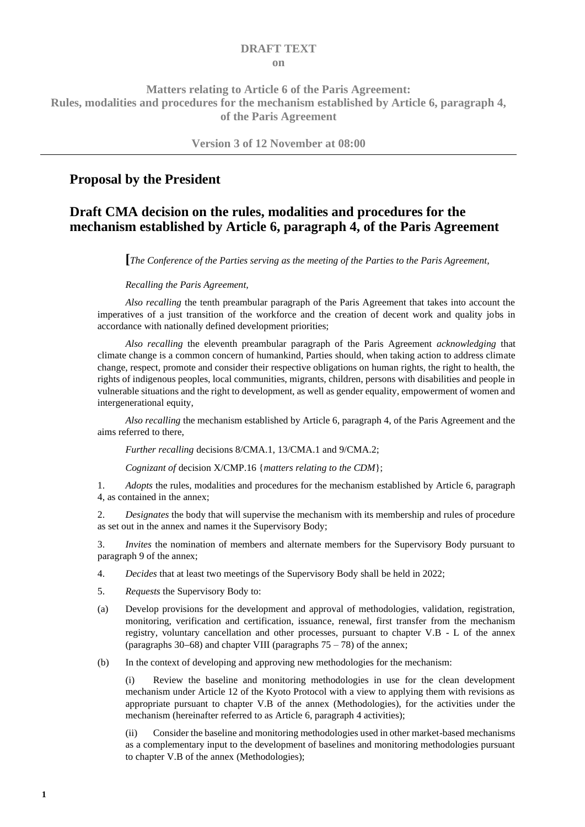#### **DRAFT TEXT on**

### **Matters relating to Article 6 of the Paris Agreement: Rules, modalities and procedures for the mechanism established by Article 6, paragraph 4, of the Paris Agreement**

**Version 3 of 12 November at 08:00**

### **Proposal by the President**

## **Draft CMA decision on the rules, modalities and procedures for the mechanism established by Article 6, paragraph 4, of the Paris Agreement**

**[***The Conference of the Parties serving as the meeting of the Parties to the Paris Agreement,*

*Recalling the Paris Agreement,*

*Also recalling* the tenth preambular paragraph of the Paris Agreement that takes into account the imperatives of a just transition of the workforce and the creation of decent work and quality jobs in accordance with nationally defined development priorities;

*Also recalling* the eleventh preambular paragraph of the Paris Agreement *acknowledging* that climate change is a common concern of humankind, Parties should, when taking action to address climate change, respect, promote and consider their respective obligations on human rights, the right to health, the rights of indigenous peoples, local communities, migrants, children, persons with disabilities and people in vulnerable situations and the right to development, as well as gender equality, empowerment of women and intergenerational equity,

*Also recalling* the mechanism established by Article 6, paragraph 4, of the Paris Agreement and the aims referred to there,

*Further recalling decisions 8/CMA.1, 13/CMA.1 and 9/CMA.2;* 

*Cognizant of* decision X/CMP.16 {*matters relating to the CDM*};

1. *Adopts* the rules, modalities and procedures for the mechanism established by Article 6, paragraph 4, as contained in the annex;

2. *Designates* the body that will supervise the mechanism with its membership and rules of procedure as set out in the annex and names it the Supervisory Body;

3. *Invites* the nomination of members and alternate members for the Supervisory Body pursuant to paragrap[h 9](#page-4-0) of the annex;

- 4. *Decides* that at least two meetings of the Supervisory Body shall be held in 2022;
- 5. *Requests* the Supervisory Body to:
- (a) Develop provisions for the development and approval of methodologies, validation, registration, monitoring, verification and certification, issuance, renewal, first transfer from the mechanism registry, voluntary cancellation and other processes, pursuant to chapter V.B - L of the annex (paragraphs [30](#page-6-0)−[68\)](#page-11-0) and chapter VIII (paragraphs 75 – 78) of the annex;

(b) In the context of developing and approving new methodologies for the mechanism:

(i) Review the baseline and monitoring methodologies in use for the clean development mechanism under Article 12 of the Kyoto Protocol with a view to applying them with revisions as appropriate pursuant to chapter [V](#page-6-1)[.B](#page-7-0) of the annex (Methodologies), for the activities under the mechanism (hereinafter referred to as Article 6, paragraph 4 activities);

(ii) Consider the baseline and monitoring methodologies used in other market-based mechanisms as a complementary input to the development of baselines and monitoring methodologies pursuant to chapter V.B of the annex (Methodologies);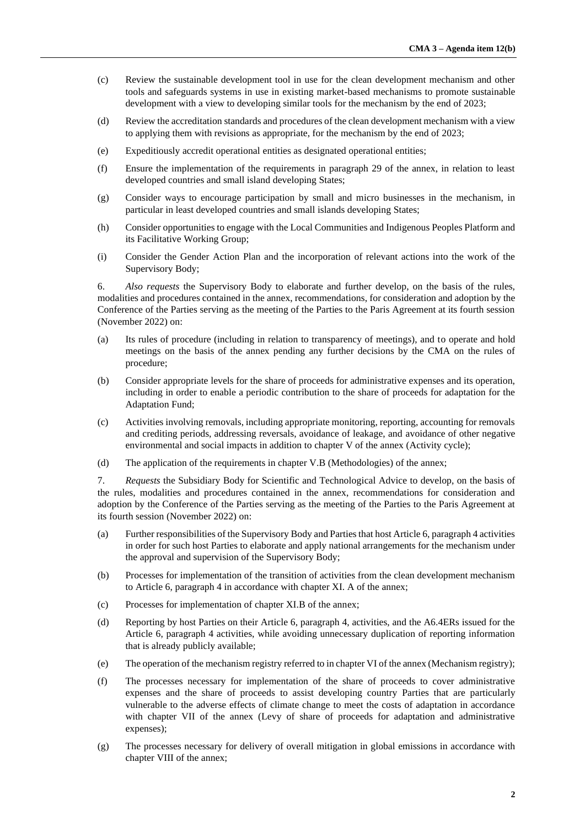- (c) Review the sustainable development tool in use for the clean development mechanism and other tools and safeguards systems in use in existing market-based mechanisms to promote sustainable development with a view to developing similar tools for the mechanism by the end of 2023;
- (d) Review the accreditation standards and procedures of the clean development mechanism with a view to applying them with revisions as appropriate, for the mechanism by the end of 2023;
- (e) Expeditiously accredit operational entities as designated operational entities;
- (f) Ensure the implementation of the requirements in paragraph 29 of the annex, in relation to least developed countries and small island developing States;
- (g) Consider ways to encourage participation by small and micro businesses in the mechanism, in particular in least developed countries and small islands developing States;
- (h) Consider opportunities to engage with the Local Communities and Indigenous Peoples Platform and its Facilitative Working Group;
- (i) Consider the Gender Action Plan and the incorporation of relevant actions into the work of the Supervisory Body;

6. *Also requests* the Supervisory Body to elaborate and further develop, on the basis of the rules, modalities and procedures contained in the annex, recommendations, for consideration and adoption by the Conference of the Parties serving as the meeting of the Parties to the Paris Agreement at its fourth session (November 2022) on:

- (a) Its rules of procedure (including in relation to transparency of meetings), and to operate and hold meetings on the basis of the annex pending any further decisions by the CMA on the rules of procedure;
- (b) Consider appropriate levels for the share of proceeds for administrative expenses and its operation, including in order to enable a periodic contribution to the share of proceeds for adaptation for the Adaptation Fund;
- (c) Activities involving removals, including appropriate monitoring, reporting, accounting for removals and crediting periods, addressing reversals, avoidance of leakage, and avoidance of other negative environmental and social impacts in addition to chapter V of the annex (Activity cycle);
- (d) The application of the requirements in chapter V.B (Methodologies) of the annex;

7. *Requests* the Subsidiary Body for Scientific and Technological Advice to develop, on the basis of the rules, modalities and procedures contained in the annex, recommendations for consideration and adoption by the Conference of the Parties serving as the meeting of the Parties to the Paris Agreement at its fourth session (November 2022) on:

- (a) Further responsibilities of the Supervisory Body and Parties that host Article 6, paragraph 4 activities in order for such host Parties to elaborate and apply national arrangements for the mechanism under the approval and supervision of the Supervisory Body;
- (b) Processes for implementation of the transition of activities from the clean development mechanism to Article 6, paragraph 4 in accordance with chapter XI. A of the annex;
- (c) Processes for implementation of chapter XI.B of the annex;
- (d) Reporting by host Parties on their Article 6, paragraph 4, activities, and the A6.4ERs issued for the Article 6, paragraph 4 activities, while avoiding unnecessary duplication of reporting information that is already publicly available;
- (e) The operation of the mechanism registry referred to in chapter VI of the annex (Mechanism registry);
- (f) The processes necessary for implementation of the share of proceeds to cover administrative expenses and the share of proceeds to assist developing country Parties that are particularly vulnerable to the adverse effects of climate change to meet the costs of adaptation in accordance with chapter VII of the annex (Levy of share of proceeds for adaptation and administrative expenses);
- (g) The processes necessary for delivery of overall mitigation in global emissions in accordance with chapter VIII of the annex;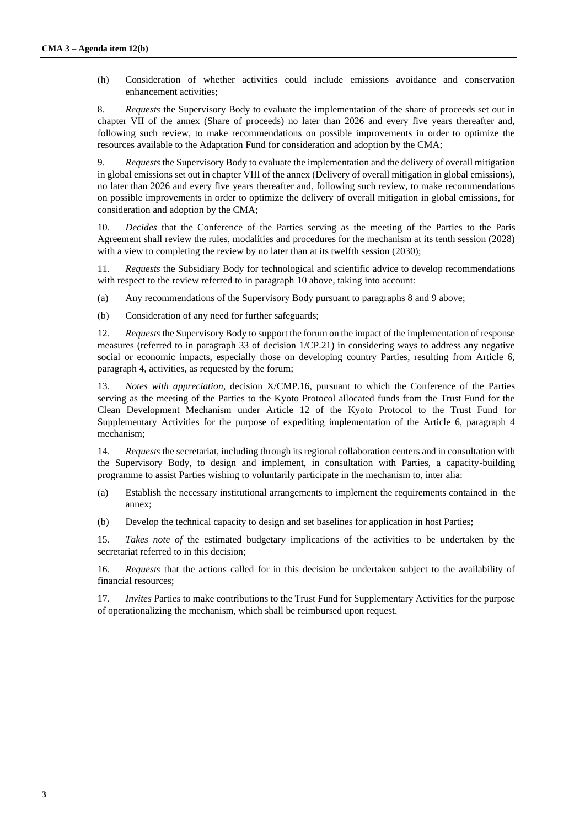(h) Consideration of whether activities could include emissions avoidance and conservation enhancement activities;

8. *Requests* the Supervisory Body to evaluate the implementation of the share of proceeds set out in chapter VII of the annex (Share of proceeds) no later than 2026 and every five years thereafter and, following such review, to make recommendations on possible improvements in order to optimize the resources available to the Adaptation Fund for consideration and adoption by the CMA;

9. *Requests* the Supervisory Body to evaluate the implementation and the delivery of overall mitigation in global emissions set out in chapter VIII of the annex (Delivery of overall mitigation in global emissions), no later than 2026 and every five years thereafter and, following such review, to make recommendations on possible improvements in order to optimize the delivery of overall mitigation in global emissions, for consideration and adoption by the CMA;

<span id="page-2-0"></span>10. *Decides* that the Conference of the Parties serving as the meeting of the Parties to the Paris Agreement shall review the rules, modalities and procedures for the mechanism at its tenth session (2028) with a view to completing the review by no later than at its twelfth session (2030);

11. *Requests* the Subsidiary Body for technological and scientific advice to develop recommendations with respect to the review referred to in paragraph [10 above,](#page-2-0) taking into account:

(a) Any recommendations of the Supervisory Body pursuant to paragraphs 8 and 9 above;

(b) Consideration of any need for further safeguards;

12. *Requests* the Supervisory Body to support the forum on the impact of the implementation of response measures (referred to in paragraph 33 of decision 1/CP.21) in considering ways to address any negative social or economic impacts, especially those on developing country Parties, resulting from Article 6, paragraph 4, activities, as requested by the forum;

13. *Notes with appreciation,* decision X/CMP.16, pursuant to which the Conference of the Parties serving as the meeting of the Parties to the Kyoto Protocol allocated funds from the Trust Fund for the Clean Development Mechanism under Article 12 of the Kyoto Protocol to the Trust Fund for Supplementary Activities for the purpose of expediting implementation of the Article 6, paragraph 4 mechanism;

14. *Requests* the secretariat, including through its regional collaboration centers and in consultation with the Supervisory Body, to design and implement, in consultation with Parties, a capacity-building programme to assist Parties wishing to voluntarily participate in the mechanism to, inter alia:

- (a) Establish the necessary institutional arrangements to implement the requirements contained in the annex;
- (b) Develop the technical capacity to design and set baselines for application in host Parties;

15. *Takes note of* the estimated budgetary implications of the activities to be undertaken by the secretariat referred to in this decision;

16. *Requests* that the actions called for in this decision be undertaken subject to the availability of financial resources;

17. *Invites* Parties to make contributions to the Trust Fund for Supplementary Activities for the purpose of operationalizing the mechanism, which shall be reimbursed upon request.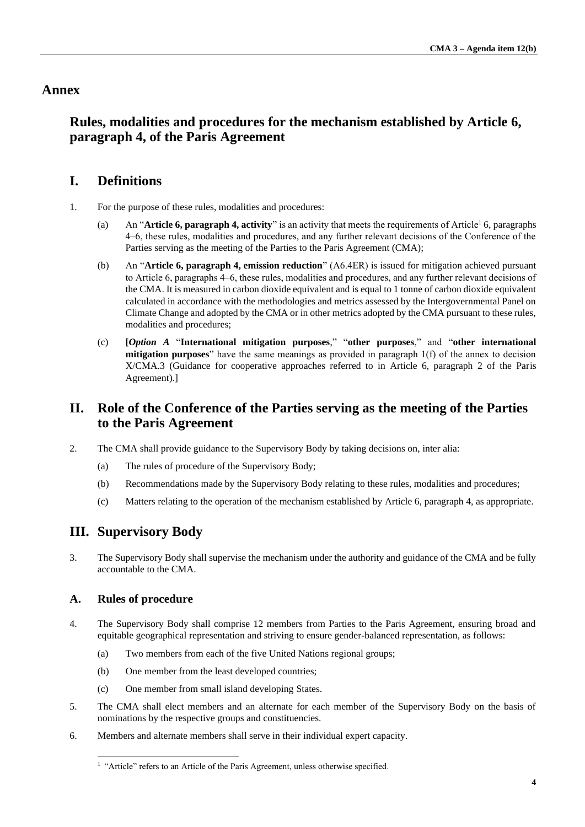### **Annex**

## **Rules, modalities and procedures for the mechanism established by Article 6, paragraph 4, of the Paris Agreement**

## **I. Definitions**

- 1. For the purpose of these rules, modalities and procedures:
	- (a) An "**Article 6, paragraph 4, activity**" is an activity that meets the requirements of Article<sup>1</sup> 6, paragraphs 4‒6, these rules, modalities and procedures, and any further relevant decisions of the Conference of the Parties serving as the meeting of the Parties to the Paris Agreement (CMA);
	- (b) An "**Article 6, paragraph 4, emission reduction**" (A6.4ER) is issued for mitigation achieved pursuant to Article 6, paragraphs 4–6, these rules, modalities and procedures, and any further relevant decisions of the CMA. It is measured in carbon dioxide equivalent and is equal to 1 tonne of carbon dioxide equivalent calculated in accordance with the methodologies and metrics assessed by the Intergovernmental Panel on Climate Change and adopted by the CMA or in other metrics adopted by the CMA pursuant to these rules, modalities and procedures;
	- (c) **[***Option A* "**International mitigation purposes**," "**other purposes**," and "**other international mitigation purposes**" have the same meanings as provided in paragraph 1(f) of the annex to decision X/CMA.3 (Guidance for cooperative approaches referred to in Article 6, paragraph 2 of the Paris Agreement).]

## **II. Role of the Conference of the Parties serving as the meeting of the Parties to the Paris Agreement**

- 2. The CMA shall provide guidance to the Supervisory Body by taking decisions on, inter alia:
	- (a) The rules of procedure of the Supervisory Body;
	- (b) Recommendations made by the Supervisory Body relating to these rules, modalities and procedures;
	- (c) Matters relating to the operation of the mechanism established by Article 6, paragraph 4, as appropriate.

# **III. Supervisory Body**

3. The Supervisory Body shall supervise the mechanism under the authority and guidance of the CMA and be fully accountable to the CMA.

### **A. Rules of procedure**

- 4. The Supervisory Body shall comprise 12 members from Parties to the Paris Agreement, ensuring broad and equitable geographical representation and striving to ensure gender-balanced representation, as follows:
	- (a) Two members from each of the five United Nations regional groups;
	- (b) One member from the least developed countries;
	- (c) One member from small island developing States.
- 5. The CMA shall elect members and an alternate for each member of the Supervisory Body on the basis of nominations by the respective groups and constituencies.
- 6. Members and alternate members shall serve in their individual expert capacity.

<sup>&</sup>lt;sup>1</sup> "Article" refers to an Article of the Paris Agreement, unless otherwise specified.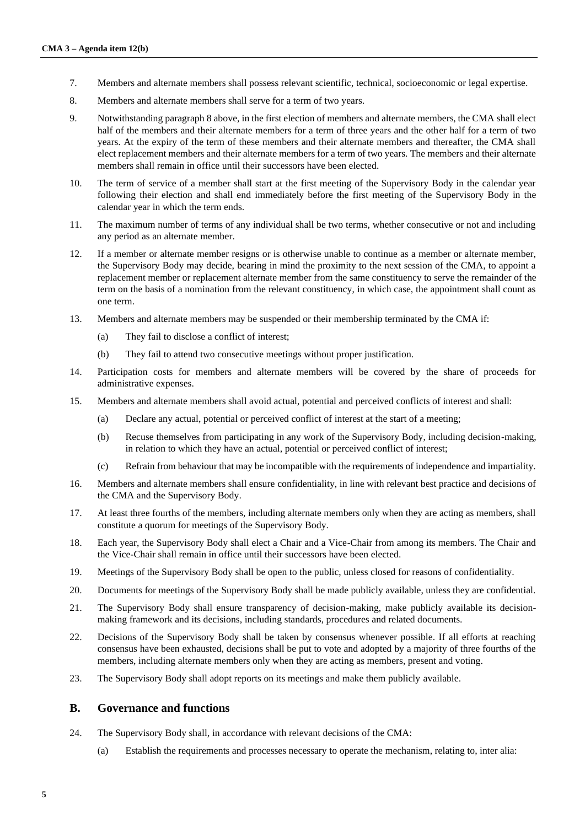- 7. Members and alternate members shall possess relevant scientific, technical, socioeconomic or legal expertise.
- <span id="page-4-1"></span>8. Members and alternate members shall serve for a term of two years.
- <span id="page-4-0"></span>9. Notwithstanding paragrap[h 8 above,](#page-4-1) in the first election of members and alternate members, the CMA shall elect half of the members and their alternate members for a term of three years and the other half for a term of two years. At the expiry of the term of these members and their alternate members and thereafter, the CMA shall elect replacement members and their alternate members for a term of two years. The members and their alternate members shall remain in office until their successors have been elected.
- 10. The term of service of a member shall start at the first meeting of the Supervisory Body in the calendar year following their election and shall end immediately before the first meeting of the Supervisory Body in the calendar year in which the term ends.
- 11. The maximum number of terms of any individual shall be two terms, whether consecutive or not and including any period as an alternate member.
- 12. If a member or alternate member resigns or is otherwise unable to continue as a member or alternate member, the Supervisory Body may decide, bearing in mind the proximity to the next session of the CMA, to appoint a replacement member or replacement alternate member from the same constituency to serve the remainder of the term on the basis of a nomination from the relevant constituency, in which case, the appointment shall count as one term.
- 13. Members and alternate members may be suspended or their membership terminated by the CMA if:
	- (a) They fail to disclose a conflict of interest;
	- (b) They fail to attend two consecutive meetings without proper justification.
- 14. Participation costs for members and alternate members will be covered by the share of proceeds for administrative expenses.
- 15. Members and alternate members shall avoid actual, potential and perceived conflicts of interest and shall:
	- (a) Declare any actual, potential or perceived conflict of interest at the start of a meeting;
	- (b) Recuse themselves from participating in any work of the Supervisory Body, including decision-making, in relation to which they have an actual, potential or perceived conflict of interest;
	- (c) Refrain from behaviour that may be incompatible with the requirements of independence and impartiality.
- 16. Members and alternate members shall ensure confidentiality, in line with relevant best practice and decisions of the CMA and the Supervisory Body.
- 17. At least three fourths of the members, including alternate members only when they are acting as members, shall constitute a quorum for meetings of the Supervisory Body.
- 18. Each year, the Supervisory Body shall elect a Chair and a Vice-Chair from among its members. The Chair and the Vice-Chair shall remain in office until their successors have been elected.
- 19. Meetings of the Supervisory Body shall be open to the public, unless closed for reasons of confidentiality.
- 20. Documents for meetings of the Supervisory Body shall be made publicly available, unless they are confidential.
- 21. The Supervisory Body shall ensure transparency of decision-making, make publicly available its decisionmaking framework and its decisions, including standards, procedures and related documents.
- 22. Decisions of the Supervisory Body shall be taken by consensus whenever possible. If all efforts at reaching consensus have been exhausted, decisions shall be put to vote and adopted by a majority of three fourths of the members, including alternate members only when they are acting as members, present and voting.
- 23. The Supervisory Body shall adopt reports on its meetings and make them publicly available.

#### **B. Governance and functions**

- 24. The Supervisory Body shall, in accordance with relevant decisions of the CMA:
	- (a) Establish the requirements and processes necessary to operate the mechanism, relating to, inter alia: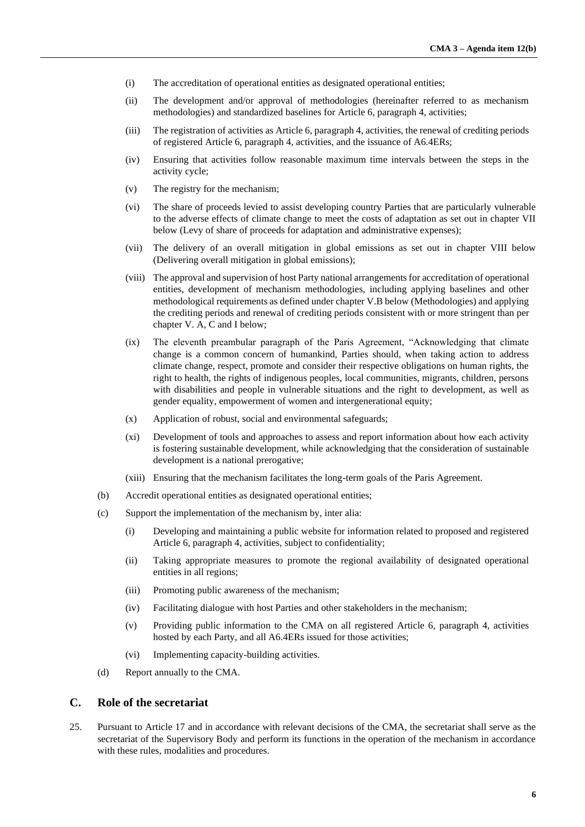- (i) The accreditation of operational entities as designated operational entities;
- (ii) The development and/or approval of methodologies (hereinafter referred to as mechanism methodologies) and standardized baselines for Article 6, paragraph 4, activities;
- (iii) The registration of activities as Article 6, paragraph 4, activities, the renewal of crediting periods of registered Article 6, paragraph 4, activities, and the issuance of A6.4ERs;
- (iv) Ensuring that activities follow reasonable maximum time intervals between the steps in the activity cycle;
- (v) The registry for the mechanism;
- (vi) The share of proceeds levied to assist developing country Parties that are particularly vulnerable to the adverse effects of climate change to meet the costs of adaptation as set out in chapter VII below (Levy of share of proceeds for adaptation and administrative expenses);
- (vii) The delivery of an overall mitigation in global emissions as set out in chapter VIII below (Delivering overall mitigation in global emissions);
- (viii) The approval and supervision of host Party national arrangements for accreditation of operational entities, development of mechanism methodologies, including applying baselines and other methodological requirements as defined under chapter V.B below (Methodologies) and applying the crediting periods and renewal of crediting periods consistent with or more stringent than per chapter V. A, C and I below;
- (ix) The eleventh preambular paragraph of the Paris Agreement, "Acknowledging that climate change is a common concern of humankind, Parties should, when taking action to address climate change, respect, promote and consider their respective obligations on human rights, the right to health, the rights of indigenous peoples, local communities, migrants, children, persons with disabilities and people in vulnerable situations and the right to development, as well as gender equality, empowerment of women and intergenerational equity;
- (x) Application of robust, social and environmental safeguards;
- (xi) Development of tools and approaches to assess and report information about how each activity is fostering sustainable development, while acknowledging that the consideration of sustainable development is a national prerogative;
- (xiii) Ensuring that the mechanism facilitates the long-term goals of the Paris Agreement.
- (b) Accredit operational entities as designated operational entities;
- (c) Support the implementation of the mechanism by, inter alia:
	- (i) Developing and maintaining a public website for information related to proposed and registered Article 6, paragraph 4, activities, subject to confidentiality;
	- (ii) Taking appropriate measures to promote the regional availability of designated operational entities in all regions;
	- (iii) Promoting public awareness of the mechanism;
	- (iv) Facilitating dialogue with host Parties and other stakeholders in the mechanism;
	- (v) Providing public information to the CMA on all registered Article 6, paragraph 4, activities hosted by each Party, and all A6.4ERs issued for those activities;
	- (vi) Implementing capacity-building activities.
- (d) Report annually to the CMA.

#### **C. Role of the secretariat**

25. Pursuant to Article 17 and in accordance with relevant decisions of the CMA, the secretariat shall serve as the secretariat of the Supervisory Body and perform its functions in the operation of the mechanism in accordance with these rules, modalities and procedures.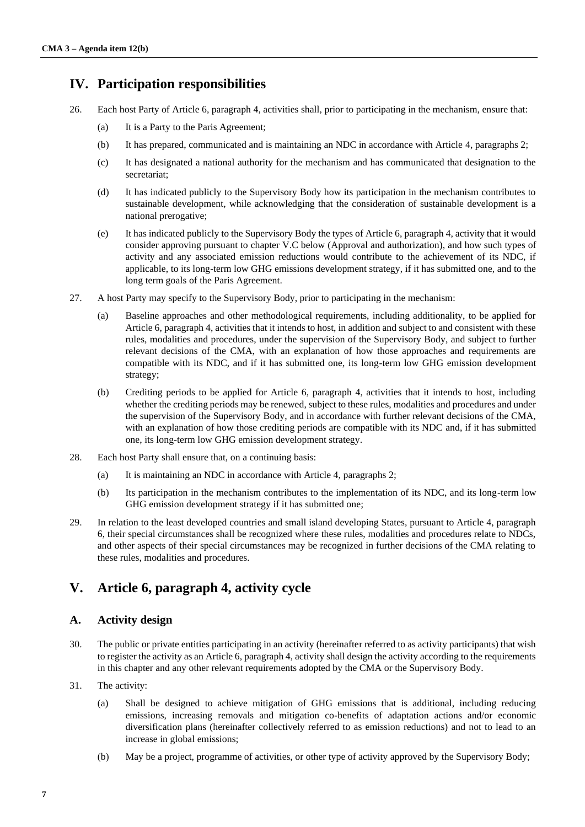## **IV. Participation responsibilities**

- 26. Each host Party of Article 6, paragraph 4, activities shall, prior to participating in the mechanism, ensure that:
	- (a) It is a Party to the Paris Agreement;
	- (b) It has prepared, communicated and is maintaining an NDC in accordance with Article 4, paragraphs 2;
	- (c) It has designated a national authority for the mechanism and has communicated that designation to the secretariat;
	- (d) It has indicated publicly to the Supervisory Body how its participation in the mechanism contributes to sustainable development, while acknowledging that the consideration of sustainable development is a national prerogative;
	- (e) It has indicated publicly to the Supervisory Body the types of Article 6, paragraph 4, activity that it would consider approving pursuant to chapter [V.](#page-6-1)[C below](#page-8-0) (Approval and authorization), and how such types of activity and any associated emission reductions would contribute to the achievement of its NDC, if applicable, to its long-term low GHG emissions development strategy, if it has submitted one, and to the long term goals of the Paris Agreement.
- <span id="page-6-2"></span>27. A host Party may specify to the Supervisory Body, prior to participating in the mechanism:
	- (a) Baseline approaches and other methodological requirements, including additionality, to be applied for Article 6, paragraph 4, activities that it intends to host, in addition and subject to and consistent with these rules, modalities and procedures, under the supervision of the Supervisory Body, and subject to further relevant decisions of the CMA, with an explanation of how those approaches and requirements are compatible with its NDC, and if it has submitted one, its long-term low GHG emission development strategy;
	- (b) Crediting periods to be applied for Article 6, paragraph 4, activities that it intends to host, including whether the crediting periods may be renewed, subject to these rules, modalities and procedures and under the supervision of the Supervisory Body, and in accordance with further relevant decisions of the CMA, with an explanation of how those crediting periods are compatible with its NDC and, if it has submitted one, its long-term low GHG emission development strategy.
- <span id="page-6-3"></span>28. Each host Party shall ensure that, on a continuing basis:
	- (a) It is maintaining an NDC in accordance with Article 4, paragraphs 2;
	- (b) Its participation in the mechanism contributes to the implementation of its NDC, and its long-term low GHG emission development strategy if it has submitted one;
- 29. In relation to the least developed countries and small island developing States, pursuant to Article 4, paragraph 6, their special circumstances shall be recognized where these rules, modalities and procedures relate to NDCs, and other aspects of their special circumstances may be recognized in further decisions of the CMA relating to these rules, modalities and procedures.

## <span id="page-6-1"></span>**V. Article 6, paragraph 4, activity cycle**

### **A. Activity design**

- <span id="page-6-0"></span>30. The public or private entities participating in an activity (hereinafter referred to as activity participants) that wish to register the activity as an Article 6, paragraph 4, activity shall design the activity according to the requirements in this chapter and any other relevant requirements adopted by the CMA or the Supervisory Body.
- 31. The activity:
	- (a) Shall be designed to achieve mitigation of GHG emissions that is additional, including reducing emissions, increasing removals and mitigation co-benefits of adaptation actions and/or economic diversification plans (hereinafter collectively referred to as emission reductions) and not to lead to an increase in global emissions;
	- (b) May be a project, programme of activities, or other type of activity approved by the Supervisory Body;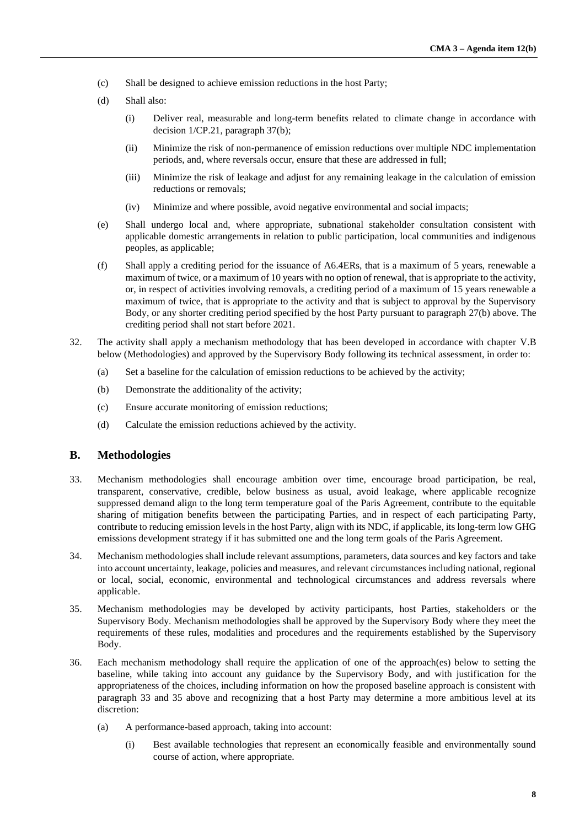- (c) Shall be designed to achieve emission reductions in the host Party;
- (d) Shall also:
	- (i) Deliver real, measurable and long-term benefits related to climate change in accordance with decision 1/CP.21, paragraph 37(b);
	- (ii) Minimize the risk of non-permanence of emission reductions over multiple NDC implementation periods, and, where reversals occur, ensure that these are addressed in full;
	- (iii) Minimize the risk of leakage and adjust for any remaining leakage in the calculation of emission reductions or removals;
	- (iv) Minimize and where possible, avoid negative environmental and social impacts;
- (e) Shall undergo local and, where appropriate, subnational stakeholder consultation consistent with applicable domestic arrangements in relation to public participation, local communities and indigenous peoples, as applicable;
- (f) Shall apply a crediting period for the issuance of A6.4ERs, that is a maximum of 5 years, renewable a maximum of twice, or a maximum of 10 years with no option of renewal, that is appropriate to the activity, or, in respect of activities involving removals, a crediting period of a maximum of 15 years renewable a maximum of twice, that is appropriate to the activity and that is subject to approval by the Supervisory Body, or any shorter crediting period specified by the host Party pursuant to paragraph [27](#page-6-2)[\(b\) above.](#page-6-3) The crediting period shall not start before 2021.
- 32. The activity shall apply a mechanism methodology that has been developed in accordance with chapter [V](#page-6-1)[.B](#page-7-0)  [below](#page-7-0) (Methodologies) and approved by the Supervisory Body following its technical assessment, in order to:
	- (a) Set a baseline for the calculation of emission reductions to be achieved by the activity;
	- (b) Demonstrate the additionality of the activity;
	- (c) Ensure accurate monitoring of emission reductions;
	- (d) Calculate the emission reductions achieved by the activity.

#### <span id="page-7-0"></span>**B. Methodologies**

- 33. Mechanism methodologies shall encourage ambition over time, encourage broad participation, be real, transparent, conservative, credible, below business as usual, avoid leakage, where applicable recognize suppressed demand align to the long term temperature goal of the Paris Agreement, contribute to the equitable sharing of mitigation benefits between the participating Parties, and in respect of each participating Party, contribute to reducing emission levels in the host Party, align with its NDC, if applicable, its long-term low GHG emissions development strategy if it has submitted one and the long term goals of the Paris Agreement.
- 34. Mechanism methodologies shall include relevant assumptions, parameters, data sources and key factors and take into account uncertainty, leakage, policies and measures, and relevant circumstances including national, regional or local, social, economic, environmental and technological circumstances and address reversals where applicable.
- 35. Mechanism methodologies may be developed by activity participants, host Parties, stakeholders or the Supervisory Body. Mechanism methodologies shall be approved by the Supervisory Body where they meet the requirements of these rules, modalities and procedures and the requirements established by the Supervisory Body.
- 36. Each mechanism methodology shall require the application of one of the approach(es) below to setting the baseline, while taking into account any guidance by the Supervisory Body, and with justification for the appropriateness of the choices, including information on how the proposed baseline approach is consistent with paragraph 33 and 35 above and recognizing that a host Party may determine a more ambitious level at its discretion:
	- (a) A performance-based approach, taking into account:
		- (i) Best available technologies that represent an economically feasible and environmentally sound course of action, where appropriate.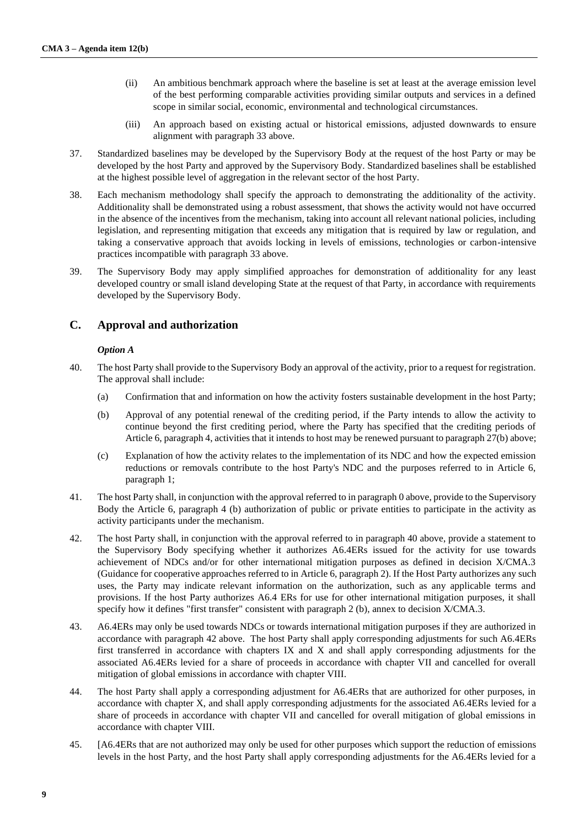- (ii) An ambitious benchmark approach where the baseline is set at least at the average emission level of the best performing comparable activities providing similar outputs and services in a defined scope in similar social, economic, environmental and technological circumstances.
- (iii) An approach based on existing actual or historical emissions, adjusted downwards to ensure alignment with paragraph 33 above.
- 37. Standardized baselines may be developed by the Supervisory Body at the request of the host Party or may be developed by the host Party and approved by the Supervisory Body. Standardized baselines shall be established at the highest possible level of aggregation in the relevant sector of the host Party.
- 38. Each mechanism methodology shall specify the approach to demonstrating the additionality of the activity. Additionality shall be demonstrated using a robust assessment, that shows the activity would not have occurred in the absence of the incentives from the mechanism, taking into account all relevant national policies, including legislation, and representing mitigation that exceeds any mitigation that is required by law or regulation, and taking a conservative approach that avoids locking in levels of emissions, technologies or carbon-intensive practices incompatible with paragraph 33 above.
- 39. The Supervisory Body may apply simplified approaches for demonstration of additionality for any least developed country or small island developing State at the request of that Party, in accordance with requirements developed by the Supervisory Body.

#### <span id="page-8-0"></span>**C. Approval and authorization**

#### *Option A*

- <span id="page-8-2"></span><span id="page-8-1"></span>40. The host Party shall provide to the Supervisory Body an approval of the activity, prior to a request for registration. The approval shall include:
	- (a) Confirmation that and information on how the activity fosters sustainable development in the host Party;
	- (b) Approval of any potential renewal of the crediting period, if the Party intends to allow the activity to continue beyond the first crediting period, where the Party has specified that the crediting periods of Article 6, paragraph 4, activities that it intends to host may be renewed pursuant to paragrap[h 27](#page-6-2)[\(b\) above;](#page-6-3)
	- (c) Explanation of how the activity relates to the implementation of its NDC and how the expected emission reductions or removals contribute to the host Party's NDC and the purposes referred to in Article 6, paragraph 1;
- 41. The host Party shall, in conjunction with the approval referred to in paragraph [0 above,](#page-8-1) provide to the Supervisory Body the Article 6, paragraph 4 (b) authorization of public or private entities to participate in the activity as activity participants under the mechanism.
- 42. The host Party shall, in conjunction with the approval referred to in paragraph 40 above, provide a statement to the Supervisory Body specifying whether it authorizes A6.4ERs issued for the activity for use towards achievement of NDCs and/or for other international mitigation purposes as defined in decision X/CMA.3 (Guidance for cooperative approaches referred to in Article 6, paragraph 2). If the Host Party authorizes any such uses, the Party may indicate relevant information on the authorization, such as any applicable terms and provisions. If the host Party authorizes A6.4 ERs for use for other international mitigation purposes, it shall specify how it defines "first transfer" consistent with paragraph 2 (b), annex to decision X/CMA.3.
- 43. A6.4ERs may only be used towards NDCs or towards international mitigation purposes if they are authorized in accordance with paragraph 42 above. The host Party shall apply corresponding adjustments for such A6.4ERs first transferred in accordance with chapters IX and X and shall apply corresponding adjustments for the associated A6.4ERs levied for a share of proceeds in accordance with chapter VII and cancelled for overall mitigation of global emissions in accordance with chapter VIII.
- 44. The host Party shall apply a corresponding adjustment for A6.4ERs that are authorized for other purposes, in accordance with chapter X, and shall apply corresponding adjustments for the associated A6.4ERs levied for a share of proceeds in accordance with chapter VII and cancelled for overall mitigation of global emissions in accordance with chapter VIII.
- 45. [A6.4ERs that are not authorized may only be used for other purposes which support the reduction of emissions levels in the host Party, and the host Party shall apply corresponding adjustments for the A6.4ERs levied for a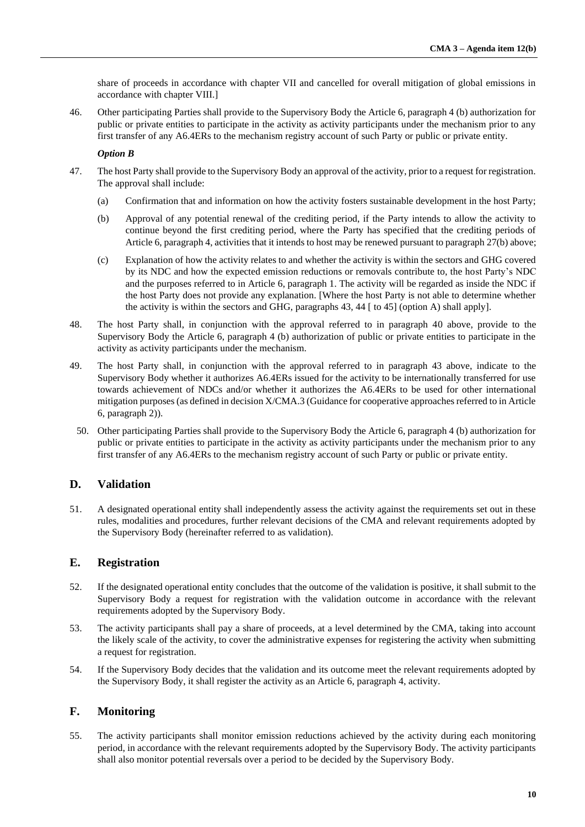share of proceeds in accordance with chapter VII and cancelled for overall mitigation of global emissions in accordance with chapter VIII.]

46. Other participating Parties shall provide to the Supervisory Body the Article 6, paragraph 4 (b) authorization for public or private entities to participate in the activity as activity participants under the mechanism prior to any first transfer of any A6.4ERs to the mechanism registry account of such Party or public or private entity.

#### *Option B*

- 47. The host Party shall provide to the Supervisory Body an approval of the activity, prior to a request for registration. The approval shall include:
	- (a) Confirmation that and information on how the activity fosters sustainable development in the host Party;
	- (b) Approval of any potential renewal of the crediting period, if the Party intends to allow the activity to continue beyond the first crediting period, where the Party has specified that the crediting periods of Article 6, paragraph 4, activities that it intends to host may be renewed pursuant to paragrap[h 27](#page-6-2)[\(b\) above;](#page-6-3)
	- (c) Explanation of how the activity relates to and whether the activity is within the sectors and GHG covered by its NDC and how the expected emission reductions or removals contribute to, the host Party's NDC and the purposes referred to in Article 6, paragraph 1. The activity will be regarded as inside the NDC if the host Party does not provide any explanation. [Where the host Party is not able to determine whether the activity is within the sectors and GHG, paragraphs 43, 44 [ to 45] (option A) shall apply].
- 48. The host Party shall, in conjunction with the approval referred to in paragraph [40 above,](#page-8-1) provide to the Supervisory Body the Article 6, paragraph 4 (b) authorization of public or private entities to participate in the activity as activity participants under the mechanism.
- 49. The host Party shall, in conjunction with the approval referred to in paragraph 43 above, indicate to the Supervisory Body whether it authorizes A6.4ERs issued for the activity to be internationally transferred for use towards achievement of NDCs and/or whether it authorizes the A6.4ERs to be used for other international mitigation purposes (as defined in decision X/CMA.3 (Guidance for cooperative approaches referred to in Article 6, paragraph 2)).
	- 50. Other participating Parties shall provide to the Supervisory Body the Article 6, paragraph 4 (b) authorization for public or private entities to participate in the activity as activity participants under the mechanism prior to any first transfer of any A6.4ERs to the mechanism registry account of such Party or public or private entity.

### **D. Validation**

51. A designated operational entity shall independently assess the activity against the requirements set out in these rules, modalities and procedures, further relevant decisions of the CMA and relevant requirements adopted by the Supervisory Body (hereinafter referred to as validation).

#### **E. Registration**

- 52. If the designated operational entity concludes that the outcome of the validation is positive, it shall submit to the Supervisory Body a request for registration with the validation outcome in accordance with the relevant requirements adopted by the Supervisory Body.
- 53. The activity participants shall pay a share of proceeds, at a level determined by the CMA, taking into account the likely scale of the activity, to cover the administrative expenses for registering the activity when submitting a request for registration.
- 54. If the Supervisory Body decides that the validation and its outcome meet the relevant requirements adopted by the Supervisory Body, it shall register the activity as an Article 6, paragraph 4, activity.

### **F. Monitoring**

55. The activity participants shall monitor emission reductions achieved by the activity during each monitoring period, in accordance with the relevant requirements adopted by the Supervisory Body. The activity participants shall also monitor potential reversals over a period to be decided by the Supervisory Body.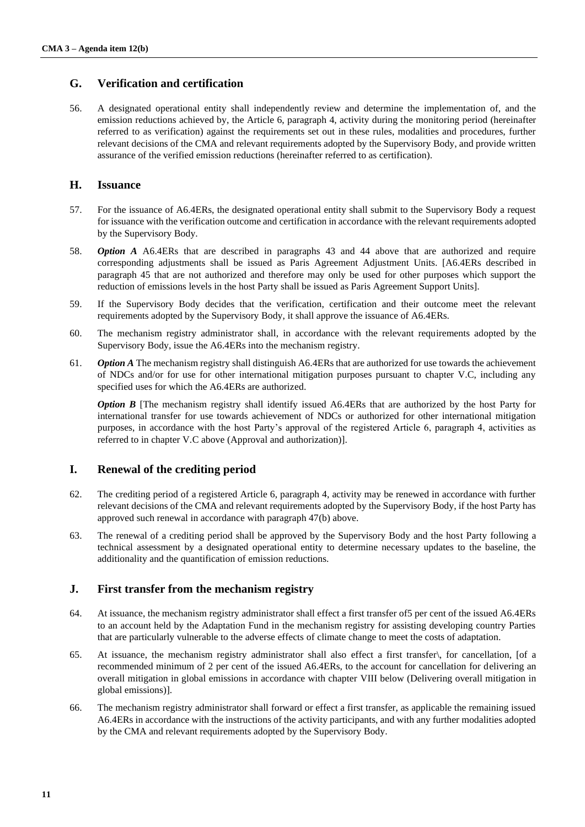### **G. Verification and certification**

56. A designated operational entity shall independently review and determine the implementation of, and the emission reductions achieved by, the Article 6, paragraph 4, activity during the monitoring period (hereinafter referred to as verification) against the requirements set out in these rules, modalities and procedures, further relevant decisions of the CMA and relevant requirements adopted by the Supervisory Body, and provide written assurance of the verified emission reductions (hereinafter referred to as certification).

#### **H. Issuance**

- 57. For the issuance of A6.4ERs, the designated operational entity shall submit to the Supervisory Body a request for issuance with the verification outcome and certification in accordance with the relevant requirements adopted by the Supervisory Body.
- 58. *Option A* A6.4ERs that are described in paragraphs 43 and 44 above that are authorized and require corresponding adjustments shall be issued as Paris Agreement Adjustment Units. [A6.4ERs described in paragraph 45 that are not authorized and therefore may only be used for other purposes which support the reduction of emissions levels in the host Party shall be issued as Paris Agreement Support Units].
- 59. If the Supervisory Body decides that the verification, certification and their outcome meet the relevant requirements adopted by the Supervisory Body, it shall approve the issuance of A6.4ERs.
- 60. The mechanism registry administrator shall, in accordance with the relevant requirements adopted by the Supervisory Body, issue the A6.4ERs into the mechanism registry.
- 61. *Option A* The mechanism registry shall distinguish A6.4ERs that are authorized for use towards the achievement of NDCs and/or for use for other international mitigation purposes pursuant to chapter V.C, including any specified uses for which the A6.4ERs are authorized.

*Option B* [The mechanism registry shall identify issued A6.4ERs that are authorized by the host Party for international transfer for use towards achievement of NDCs or authorized for other international mitigation purposes, in accordance with the host Party's approval of the registered Article 6, paragraph 4, activities as referred to in chapter [V.C above](#page-8-0) (Approval and authorization)].

### **I. Renewal of the crediting period**

- 62. The crediting period of a registered Article 6, paragraph 4, activity may be renewed in accordance with further relevant decisions of the CMA and relevant requirements adopted by the Supervisory Body, if the host Party has approved such renewal in accordance with paragraph 4[7\(b\) above.](#page-8-2)
- 63. The renewal of a crediting period shall be approved by the Supervisory Body and the host Party following a technical assessment by a designated operational entity to determine necessary updates to the baseline, the additionality and the quantification of emission reductions.

### **J. First transfer from the mechanism registry**

- 64. At issuance, the mechanism registry administrator shall effect a first transfer of5 per cent of the issued A6.4ERs to an account held by the Adaptation Fund in the mechanism registry for assisting developing country Parties that are particularly vulnerable to the adverse effects of climate change to meet the costs of adaptation.
- 65. At issuance, the mechanism registry administrator shall also effect a first transfer\, for cancellation, [of a recommended minimum of 2 per cent of the issued A6.4ERs, to the account for cancellation for delivering an overall mitigation in global emissions in accordance with chapter [VIII below](#page-11-1) (Delivering overall mitigation in global emissions)].
- 66. The mechanism registry administrator shall forward or effect a first transfer, as applicable the remaining issued A6.4ERs in accordance with the instructions of the activity participants, and with any further modalities adopted by the CMA and relevant requirements adopted by the Supervisory Body.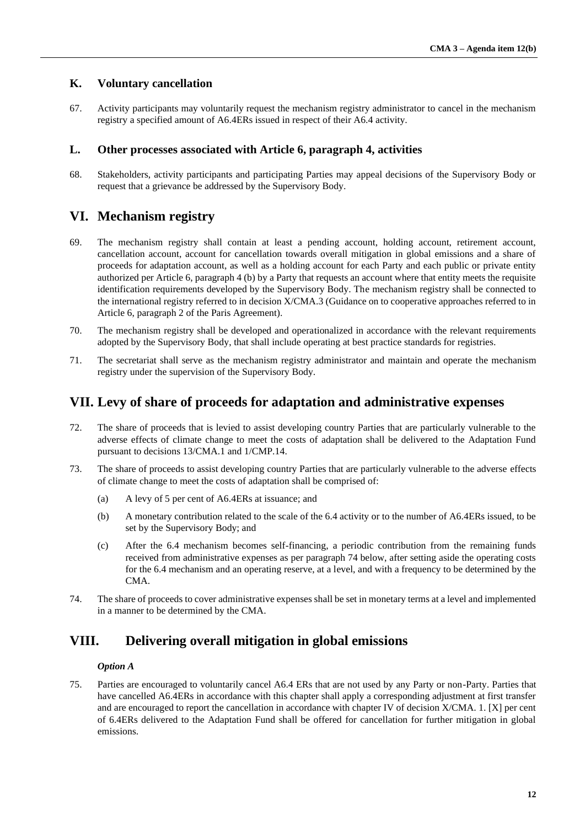### **K. Voluntary cancellation**

67. Activity participants may voluntarily request the mechanism registry administrator to cancel in the mechanism registry a specified amount of A6.4ERs issued in respect of their A6.4 activity.

### **L. Other processes associated with Article 6, paragraph 4, activities**

<span id="page-11-0"></span>68. Stakeholders, activity participants and participating Parties may appeal decisions of the Supervisory Body or request that a grievance be addressed by the Supervisory Body.

## **VI. Mechanism registry**

- 69. The mechanism registry shall contain at least a pending account, holding account, retirement account, cancellation account, account for cancellation towards overall mitigation in global emissions and a share of proceeds for adaptation account, as well as a holding account for each Party and each public or private entity authorized per Article 6, paragraph 4 (b) by a Party that requests an account where that entity meets the requisite identification requirements developed by the Supervisory Body. The mechanism registry shall be connected to the international registry referred to in decision X/CMA.3 (Guidance on to cooperative approaches referred to in Article 6, paragraph 2 of the Paris Agreement).
- 70. The mechanism registry shall be developed and operationalized in accordance with the relevant requirements adopted by the Supervisory Body, that shall include operating at best practice standards for registries.
- 71. The secretariat shall serve as the mechanism registry administrator and maintain and operate the mechanism registry under the supervision of the Supervisory Body.

## **VII. Levy of share of proceeds for adaptation and administrative expenses**

- 72. The share of proceeds that is levied to assist developing country Parties that are particularly vulnerable to the adverse effects of climate change to meet the costs of adaptation shall be delivered to the Adaptation Fund pursuant to decisions 13/CMA.1 and 1/CMP.14.
- 73. The share of proceeds to assist developing country Parties that are particularly vulnerable to the adverse effects of climate change to meet the costs of adaptation shall be comprised of:
	- (a) A levy of 5 per cent of A6.4ERs at issuance; and
	- (b) A monetary contribution related to the scale of the 6.4 activity or to the number of A6.4ERs issued, to be set by the Supervisory Body; and
	- (c) After the 6.4 mechanism becomes self-financing, a periodic contribution from the remaining funds received from administrative expenses as per paragraph 74 below, after setting aside the operating costs for the 6.4 mechanism and an operating reserve, at a level, and with a frequency to be determined by the CMA.
- 74. The share of proceeds to cover administrative expenses shall be set in monetary terms at a level and implemented in a manner to be determined by the CMA.

## <span id="page-11-1"></span>**VIII. Delivering overall mitigation in global emissions**

#### *Option A*

75. Parties are encouraged to voluntarily cancel A6.4 ERs that are not used by any Party or non-Party. Parties that have cancelled A6.4ERs in accordance with this chapter shall apply a corresponding adjustment at first transfer and are encouraged to report the cancellation in accordance with chapter IV of decision X/CMA. 1. [X] per cent of 6.4ERs delivered to the Adaptation Fund shall be offered for cancellation for further mitigation in global emissions.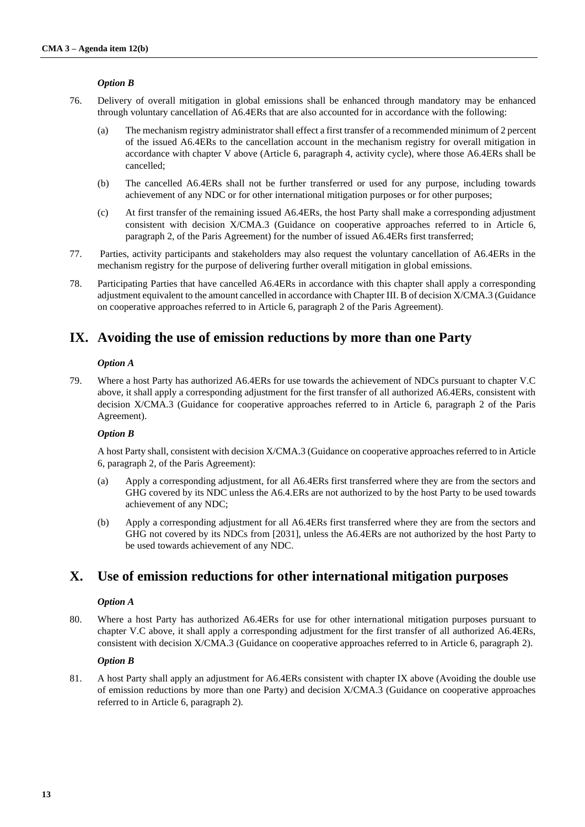#### *Option B*

- 76. Delivery of overall mitigation in global emissions shall be enhanced through mandatory may be enhanced through voluntary cancellation of A6.4ERs that are also accounted for in accordance with the following:
	- (a) The mechanism registry administrator shall effect a first transfer of a recommended minimum of 2 percent of the issued A6.4ERs to the cancellation account in the mechanism registry for overall mitigation in accordance with chapter [V above](#page-6-1) (Article 6, paragraph 4, activity cycle), where those A6.4ERs shall be cancelled;
	- (b) The cancelled A6.4ERs shall not be further transferred or used for any purpose, including towards achievement of any NDC or for other international mitigation purposes or for other purposes;
	- (c) At first transfer of the remaining issued A6.4ERs, the host Party shall make a corresponding adjustment consistent with decision X/CMA.3 (Guidance on cooperative approaches referred to in Article 6, paragraph 2, of the Paris Agreement) for the number of issued A6.4ERs first transferred;
- 77. Parties, activity participants and stakeholders may also request the voluntary cancellation of A6.4ERs in the mechanism registry for the purpose of delivering further overall mitigation in global emissions.
- 78. Participating Parties that have cancelled A6.4ERs in accordance with this chapter shall apply a corresponding adjustment equivalent to the amount cancelled in accordance with Chapter III. B of decision X/CMA.3 (Guidance on cooperative approaches referred to in Article 6, paragraph 2 of the Paris Agreement).

## **IX. Avoiding the use of emission reductions by more than one Party**

#### *Option A*

79. Where a host Party has authorized A6.4ERs for use towards the achievement of NDCs pursuant to chapter V.C above, it shall apply a corresponding adjustment for the first transfer of all authorized A6.4ERs, consistent with decision X/CMA.3 (Guidance for cooperative approaches referred to in Article 6, paragraph 2 of the Paris Agreement).

#### *Option B*

A host Party shall, consistent with decision X/CMA.3 (Guidance on cooperative approaches referred to in Article 6, paragraph 2, of the Paris Agreement):

- (a) Apply a corresponding adjustment, for all A6.4ERs first transferred where they are from the sectors and GHG covered by its NDC unless the A6.4. ERs are not authorized to by the host Party to be used towards achievement of any NDC;
- (b) Apply a corresponding adjustment for all A6.4ERs first transferred where they are from the sectors and GHG not covered by its NDCs from [2031], unless the A6.4ERs are not authorized by the host Party to be used towards achievement of any NDC.

## **X. Use of emission reductions for other international mitigation purposes**

#### *Option A*

80. Where a host Party has authorized A6.4ERs for use for other international mitigation purposes pursuant to chapter V.C above, it shall apply a corresponding adjustment for the first transfer of all authorized A6.4ERs, consistent with decision X/CMA.3 (Guidance on cooperative approaches referred to in Article 6, paragraph 2).

#### *Option B*

81. A host Party shall apply an adjustment for A6.4ERs consistent with chapter IX above (Avoiding the double use of emission reductions by more than one Party) and decision X/CMA.3 (Guidance on cooperative approaches referred to in Article 6, paragraph 2).